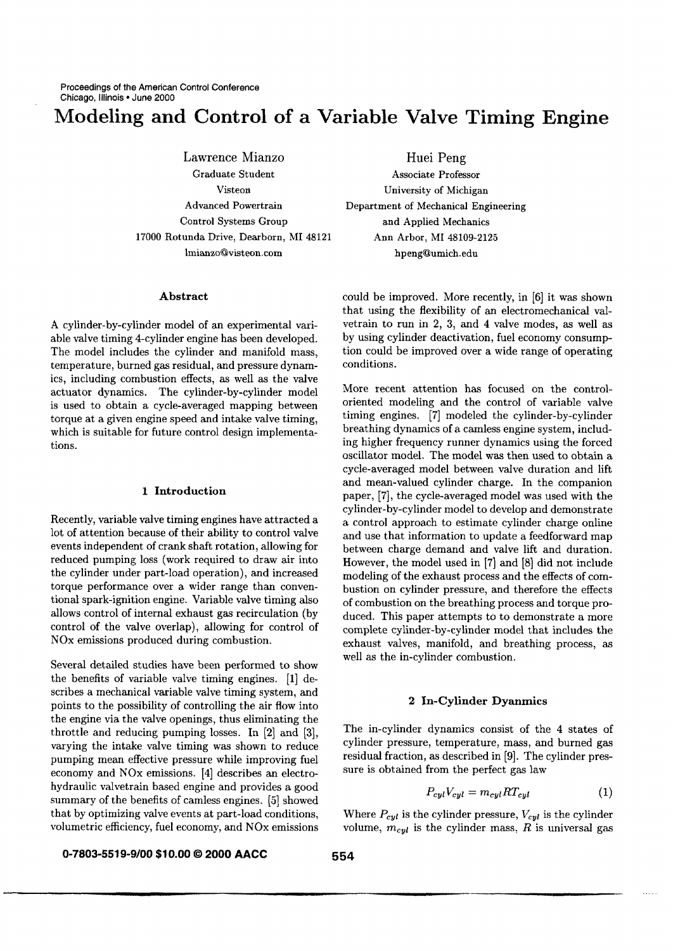# **Modeling and Control of a Variable Valve Timing Engine**

Lawrence Mianzo Graduate Student Visteon Advanced Powertrain Control Systems Group 17000 Rotunda Drive, Dearborn, MI 48121 lmianzo@visteon.com

## **Abstract**

A cylinder-by-cylinder model of an experimental variable valve timing 4-cylinder engine has been developed. The model includes the cylinder and manifold mass, temperature, burned gas residual, and pressure dynamics, including combustion effects, as well as the valve actuator dynamics. The cylinder-by-cylinder model is used to obtain a cycle-averaged mapping between torque at a given engine speed and intake valve timing, which is suitable for future control design implementations.

## 1 **Introduction**

Recently, variable valve timing engines have attracted a lot of attention because of their ability to control valve events independent of crank shaft rotation, allowing for reduced pumping loss (work required to draw air into the cylinder under part-load operation), and increased torque performance over a wider range than conventional spark-ignition engine. Variable valve timing also allows control of internal exhaust gas recirculation (by control of the valve overlap), allowing for control of NOx emissions produced during combustion.

Several detailed studies have been performed to show the benefits of variable valve timing engines. [1] describes a mechanical variable valve timing system, and points to the possibility of controlling the air flow into the engine via the valve openings, thus eliminating the throttle and reducing pumping losses. In [2] and [3], varying the intake valve timing was shown to reduce pumping mean effective pressure while improving fuel economy and NOx emissions. [4] describes an electrohydraulic valvetrain based engine and provides a good summary of the benefits of camless engines. [5] showed that by optimizing valve events at part-load conditions, volumetric efficiency, fuel economy, and NOx emissions

Huei Peng Associate Professor University of Michigan Department of Mechanical Engineering and Applied Mechanics Ann Arbor, MI 48109-2125 hpeng@umich.edu

could be improved. More recently, in [6] it was shown that using the flexibility of an electromechanical valvetrain to run in 2, 3, and 4 valve modes, as well as by using cylinder deactivation, fuel economy consumption could be improved over a wide range of operating conditions.

More recent attention has focused on the controloriented modeling and the control of variable valve timing engines. [7] modeled the cylinder-by-cylinder breathing dynamics of a camless engine system, including higher frequency runner dynamics using the forced oscillator model. The model was then used to obtain a cycle-averaged model between valve duration and lift and mean-valued cylinder charge. In the companion paper, [7], the cycle-averaged model was used with the cylinder-by-cylinder model to develop and demonstrate a control approach to estimate cylinder charge online and use that information to update a feedforward map between charge demand and valve lift and duration. However, the model used in [7] and [8] did not include modeling of the exhaust process and the effects of combustion on cylinder pressure, and therefore the effects of combustion on the breathing process and torque produced. This paper attempts to to demonstrate a more complete cylinder-by-cylinder model that includes the exhaust valves, manifold, and breathing process, as well as the in-cylinder combustion.

## 2 In-Cylinder Dyanmics

The in-cylinder dynamics consist of the 4 states of cylinder pressure, temperature, mass, and burned gas residual fraction, as described in [9]. The cylinder pressure is obtained from the perfect gas law

$$
P_{cyl}V_{cyl} = m_{cyl}RT_{cyl} \tag{1}
$$

Where  $P_{cyl}$  is the cylinder pressure,  $V_{cyl}$  is the cylinder volume,  $m_{cyl}$  is the cylinder mass, R is universal gas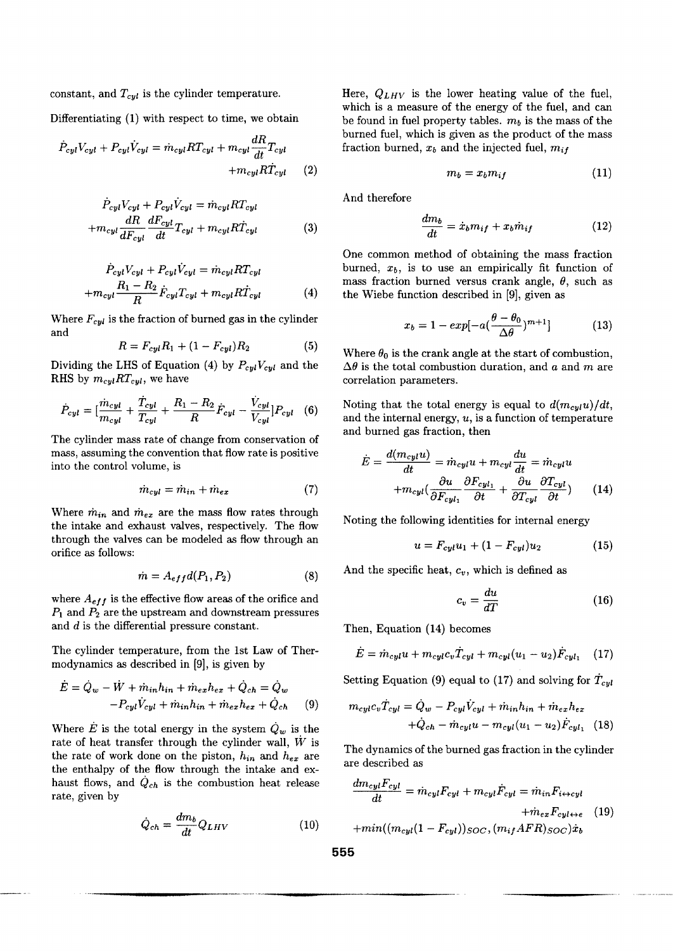constant, and  $T_{cyl}$  is the cylinder temperature.

Differentiating (1) with respect to time, we obtain

$$
\dot{P}_{cyl}V_{cyl} + P_{cyl}\dot{V}_{cyl} = \dot{m}_{cyl}RT_{cyl} + m_{cyl}\frac{dR}{dt}T_{cyl} + m_{cyl}R\dot{T}_{cyl} \tag{2}
$$

$$
\dot{P}_{cyl}V_{cyl} + P_{cyl}V_{cyl} = \dot{m}_{cyl}RT_{cyl} \n+m_{cyl}\frac{dR}{dF_{cyl}}\frac{dF_{cyl}}{dt}T_{cyl} + m_{cyl}R\dot{T}_{cyl}
$$
\n(3)

$$
\dot{P}_{cyl}V_{cyl} + P_{cyl}\dot{V}_{cyl} = \dot{m}_{cyl}RT_{cyl}
$$
\n
$$
+ m_{cyl} \frac{R_1 - R_2}{R} \dot{F}_{cyl}T_{cyl} + m_{cyl}R\dot{T}_{cyl} \tag{4}
$$

Where  $F_{cyl}$  is the fraction of burned gas in the cylinder and

$$
R = F_{cyl}R_1 + (1 - F_{cyl})R_2 \tag{5}
$$

Dividing the LHS of Equation (4) by  $P_{cyl}V_{cyl}$  and the RHS by  $m_{cyl}RT_{cyl}$ , we have

$$
\dot{P}_{cyl} = [\frac{\dot{m}_{cyl}}{m_{cyl}} + \frac{\dot{T}_{cyl}}{T_{cyl}} + \frac{R_1 - R_2}{R} \dot{F}_{cyl} - \frac{\dot{V}_{cyl}}{V_{cyl}}] P_{cyl} \quad (6)
$$

The cylinder mass rate of change from conservation of mass, assuming the convention that flow rate is positive into the control volume, is

$$
\dot{m}_{cyl} = \dot{m}_{in} + \dot{m}_{ex} \tag{7}
$$

Where  $\dot{m}_{in}$  and  $\dot{m}_{ex}$  are the mass flow rates through the intake and exhaust valves, respectively. The flow through the valves can be modeled as flow through an orifice as follows:

$$
\dot{m} = A_{eff} d(P_1, P_2) \tag{8}
$$

where  $A_{eff}$  is the effective flow areas of the orifice and  $P_1$  and  $P_2$  are the upstream and downstream pressures and d is the differential pressure constant.

The cylinder temperature, from the 1st Law of Thermodynamics as described in [9], is given by

 $\mathcal{L}^{\text{max}}$  and  $\mathcal{L}^{\text{max}}$ 

$$
\dot{E} = \dot{Q}_w - \dot{W} + \dot{m}_{in}h_{in} + \dot{m}_{ex}h_{ex} + \dot{Q}_{ch} = \dot{Q}_w
$$

$$
-P_{cyl}\dot{V}_{cyl} + \dot{m}_{in}h_{in} + \dot{m}_{ex}h_{ex} + \dot{Q}_{ch} \qquad (9)
$$

Where  $\dot{E}$  is the total energy in the system  $\dot{Q}_w$  is the rate of heat transfer through the cylinder wall,  $\dot{W}$  is the rate of work done on the piston,  $h_{in}$  and  $h_{ex}$  are the enthalpy of the flow through the intake and exhaust flows, and  $Q_{ch}$  is the combustion heat release rate, given by

$$
\dot{Q}_{ch} = \frac{dm_b}{dt} Q_{LHV} \tag{10}
$$

Here, *QLHV* is the lower heating value of the fuel, which is a measure of the energy of the fuel, and can be found in fuel property tables,  $m_b$  is the mass of the burned fuel, which is given as the product of the mass fraction burned,  $x_b$  and the injected fuel,  $m_{if}$ 

$$
m_b = x_b m_{if} \tag{11}
$$

And therefore

$$
\frac{dm_b}{dt} = \dot{x}_b m_{if} + x_b \dot{m}_{if} \tag{12}
$$

One common method of obtaining the mass fraction burned,  $x_b$ , is to use an empirically fit function of mass fraction burned versus crank angle,  $\theta$ , such as the Wiebe function described in [9], given as

$$
x_b = 1 - exp[-a(\frac{\theta - \theta_0}{\Delta \theta})^{m+1}] \tag{13}
$$

Where  $\theta_0$  is the crank angle at the start of combustion,  $\Delta\theta$  is the total combustion duration, and a and m are correlation parameters.

Noting that the total energy is equal to  $d(m_{\text{cyl}}u)/dt$ , and the internal energy,  $u$ , is a function of temperature and burned gas fraction, then

$$
\dot{E} = \frac{d(m_{cyl}u)}{dt} = \dot{m}_{cyl}u + m_{cyl}\frac{du}{dt} = \dot{m}_{cyl}u
$$

$$
+ m_{cyl}(\frac{\partial u}{\partial F_{cyl_1}} \frac{\partial F_{cyl_1}}{\partial t} + \frac{\partial u}{\partial T_{cyl}} \frac{\partial T_{cyl}}{\partial t}) \tag{14}
$$

Noting the following identities for internal energy

$$
u = F_{cyl}u_1 + (1 - F_{cyl})u_2 \tag{15}
$$

And the specific heat, *Cv,* which is defined as

$$
c_v = \frac{du}{dT} \tag{16}
$$

Then, Equation (14) becomes

$$
\dot{E} = \dot{m}_{cyl}u + m_{cyl}c_v \dot{T}_{cyl} + m_{cyl}(u_1 - u_2)\dot{F}_{cyl_1} \quad (17)
$$

Setting Equation (9) equal to (17) and solving for  $\dot{T}_{cyl}$ 

$$
m_{cyl}c_v \dot{T}_{cyl} = \dot{Q}_w - P_{cyl} \dot{V}_{cyl} + \dot{m}_{in} h_{in} + \dot{m}_{ex} h_{ex} + \dot{Q}_{ch} - \dot{m}_{cyl} u - m_{cyl} (u_1 - u_2) \dot{F}_{cyl_1} \quad (18)
$$

The dynamics of the burned gas fraction in the cylinder are described as

$$
\frac{dm_{cyl}F_{cyl}}{dt} = \dot{m}_{cyl}F_{cyl} + m_{cyl}\dot{F}_{cyl} = \dot{m}_{in}F_{i\leftrightarrow cyl}
$$

$$
+ \dot{m}_{ex}F_{cyl\leftrightarrow e} \quad (19)
$$

$$
+ \dot{m}_{in}((m_{cyl}(1 - F_{cyl}))_{SOC}, (m_{if}AFR)_{SOC})\dot{x}_b
$$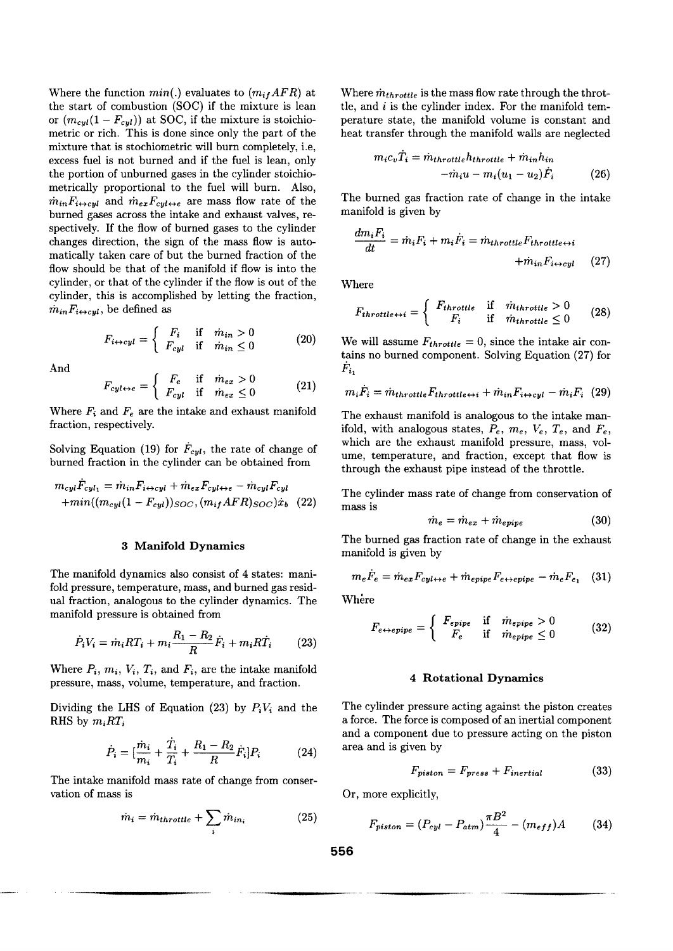Where the function  $min(.)$  evaluates to  $(m_{if}AFR)$  at the start of combustion (SOC) if the mixture is lean or  $(m_{cyl}(1 - F_{cyl}))$  at SOC, if the mixture is stoichiometric or rich. This is done since only the part of the mixture that is stochiometric will burn completely, i.e, excess fuel is not burned and if the fuel is lean, only the portion of unburned gases in the cylinder stoichiometrically proportional to the fuel will burn. Also,  $\dot{m}_{in}F_{i\leftrightarrow\text{cyl}}$  and  $\dot{m}_{ex}F_{\text{cyl}\leftrightarrow e}$  are mass flow rate of the burned gases across the intake and exhaust valves, respectively. If the flow of burned gases to the cylinder changes direction, the sign of the mass flow is automatically taken care of but the burned fraction of the flow should be that of the manifold if flow is into the cylinder, or that of the cylinder if the flow is out of the cylinder, this is accomplished by letting the fraction,  $\dot{m}_{in}F_{i\leftrightarrow\text{cut}}$ , be defined as

$$
F_{i \leftrightarrow cyl} = \begin{cases} F_i & \text{if } m_{in} > 0\\ F_{cyl} & \text{if } m_{in} \le 0 \end{cases}
$$
 (20)

And

$$
F_{cyl \leftrightarrow e} = \begin{cases} F_e & \text{if } m_{ex} > 0\\ F_{cyl} & \text{if } m_{ex} \le 0 \end{cases}
$$
 (21)

Where  $F_i$  and  $F_e$  are the intake and exhaust manifold fraction, respectively.

Solving Equation (19) for  $\dot{F}_{cyl}$ , the rate of change of burned fraction in the cylinder can be obtained from

$$
m_{cyl}\dot{F}_{cyl_1} = \dot{m}_{in}F_{i\leftrightarrow cyl} + \dot{m}_{ex}F_{cyl\leftrightarrow e} - \dot{m}_{cyl}F_{cyl}
$$

$$
+\dot{m}in((m_{cyl}(1 - F_{cyl}))_{SOC}, (m_{if}AFR)_{SOC})\dot{x}_b
$$
(22)

#### 3 Manifold Dynamics

The manifold dynamics also consist of 4 states: manifold pressure, temperature, mass, and burned gas residual fraction, analogous to the cylinder dynamics. The manifold pressure is obtained from

$$
\dot{P}_i V_i = \dot{m}_i R T_i + m_i \frac{R_1 - R_2}{R} \dot{F}_i + m_i R \dot{T}_i \tag{23}
$$

Where  $P_i$ ,  $m_i$ ,  $V_i$ ,  $T_i$ , and  $F_i$ , are the intake manifold pressure, mass, volume, temperature, and fraction.

Dividing the LHS of Equation (23) by  $P_iV_i$  and the RHS by  $m_iRT_i$ 

$$
\dot{P}_i = [\frac{\dot{m}_i}{m_i} + \frac{\dot{T}_i}{T_i} + \frac{R_1 - R_2}{R} \dot{F}_i] P_i \tag{24}
$$

The intake manifold mass rate of change from conservation of mass is

$$
\dot{m}_i = \dot{m}_{throttle} + \sum_i \dot{m}_{in_i} \tag{25}
$$

Where  $\dot{m}_{throttle}$  is the mass flow rate through the throttle, and  $i$  is the cylinder index. For the manifold temperature state, the manifold volume is constant and heat transfer through the manifold walls are neglected

$$
m_i c_v T_i = \dot{m}_{throttle} h_{throttle} + \dot{m}_{in} h_{in}
$$

$$
-\dot{m}_i u - m_i (u_1 - u_2) \dot{F}_i \tag{26}
$$

The burned gas fraction rate of change in the intake manifold is given by

$$
\frac{dm_i F_i}{dt} = \dot{m}_i F_i + m_i \dot{F}_i = \dot{m}_{throttle} F_{throttle \leftrightarrow i} \n+ \dot{m}_{in} F_{i \leftrightarrow cyl} \tag{27}
$$

Where

$$
F_{throttle \leftrightarrow i} = \begin{cases} F_{throttle} & \text{if} \quad \dot{m}_{throttle} > 0\\ F_i & \text{if} \quad \dot{m}_{throttle} \le 0 \end{cases} \tag{28}
$$

We will assume  $F_{throttle} = 0$ , since the intake air contains no burned component. Solving Equation (27) for  $F_{i_1}$ 

$$
m_i F_i = \dot{m}_{throttle} F_{throttle \leftrightarrow i} + \dot{m}_{in} F_{i \leftrightarrow cyl} - \dot{m}_i F_i \tag{29}
$$

The exhaust manifold is analogous to the intake manifold, with analogous states,  $P_e$ ,  $m_e$ ,  $V_e$ ,  $T_e$ , and  $F_e$ , which are the exhaust manifold pressure, mass, volume, temperature, and fraction, except that flow is through the exhaust pipe instead of the throttle.

The cylinder mass rate of change from conservation of mass is

$$
\dot{m}_e = \dot{m}_{ex} + \dot{m}_{epipe} \tag{30}
$$

The burned gas fraction rate of change in the exhaust manifold is given by

$$
m_e \dot{F}_e = \dot{m}_{ex} F_{cyl \leftrightarrow e} + \dot{m}_{epipe} F_{e \leftrightarrow epipe} - \dot{m}_e F_{e_1} \quad (31)
$$

Where

$$
F_{e \leftrightarrow epipe} = \begin{cases} F_{epipe} & \text{if } m_{epipe} > 0\\ F_e & \text{if } m_{epipe} \le 0 \end{cases}
$$
 (32)

#### 4 Rotational Dynamics

The cylinder pressure acting against the piston creates a force. The force is composed of an inertial component and a component due to pressure acting on the piston area and is given by

$$
F_{piston} = F_{press} + F_{inertial} \tag{33}
$$

Or, more explicitly,

$$
F_{piston} = (P_{cyl} - P_{atm})\frac{\pi B^2}{4} - (m_{eff})A \qquad (34)
$$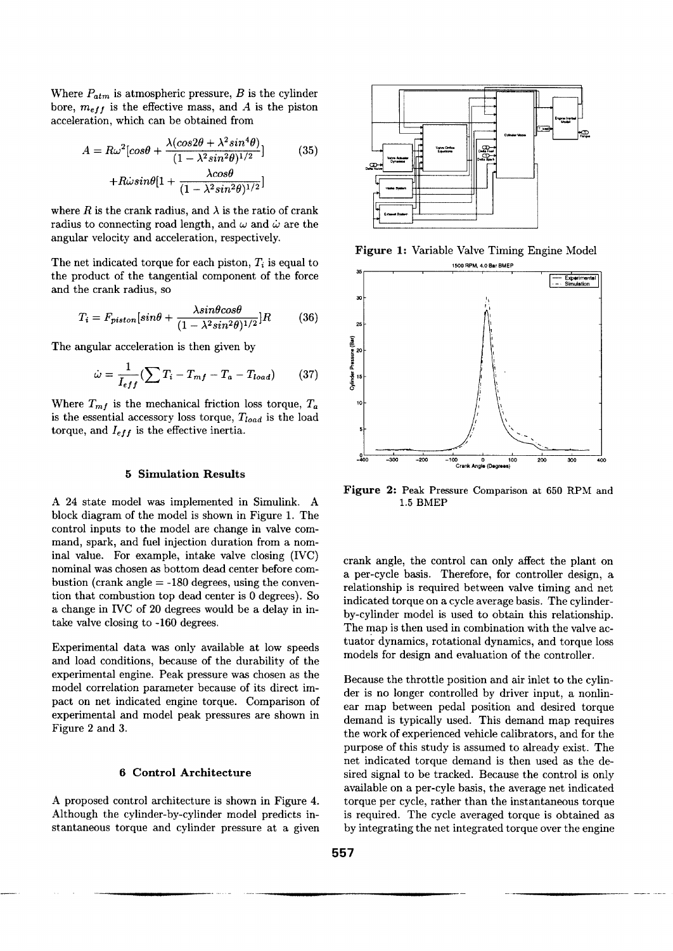Where  $P_{atm}$  is atmospheric pressure, B is the cylinder bore,  $m_{eff}$  is the effective mass, and A is the piston acceleration, which can be obtained from

$$
A = R\omega^2 \left[ \cos\theta + \frac{\lambda(\cos 2\theta + \lambda^2 \sin^4 \theta)}{(1 - \lambda^2 \sin^2 \theta)^{1/2}} \right]
$$
(35)  
+
$$
R\omega \sin\theta \left[ 1 + \frac{\lambda \cos\theta}{(1 - \lambda^2 \sin^2 \theta)^{1/2}} \right]
$$

where R is the crank radius, and  $\lambda$  is the ratio of crank radius to connecting road length, and  $\omega$  and  $\dot{\omega}$  are the angular velocity and acceleration, respectively.

The net indicated torque for each piston,  $T_i$  is equal to the product of the tangential component of the force and the crank radius, so

$$
T_i = F_{piston}[sin\theta + \frac{\lambda sin\theta cos\theta}{(1 - \lambda^2 sin^2\theta)^{1/2}}]R
$$
 (36)

The angular acceleration is then given by

$$
\dot{\omega} = \frac{1}{I_{eff}} \left( \sum T_i - T_{mf} - T_a - T_{load} \right) \tag{37}
$$

Where  $T_{mf}$  is the mechanical friction loss torque,  $T_a$ is the essential accessory loss torque, *Ttoad* is the load torque, and  $I_{eff}$  is the effective inertia.

## **5 Simulation Results**

A 24 state model was implemented in Simulink. A block diagram of the model is shown in Figure 1. The control inputs to the model are change in valve command, spark, and fuel injection duration from a nominal value. For example, intake valve closing (IVC) nominal was chosen as bottom dead center before combustion (crank angle  $= -180$  degrees, using the convention that combustion top dead center is 0 degrees). So a change in IVC of 20 degrees would be a delay in intake valve closing to -160 degrees.

Experimental data was only available at low speeds and load conditions, because of the durability of the experimental engine. Peak pressure was chosen as the model correlation parameter because of its direct impact on net indicated engine torque. Comparison of experimental and model peak pressures are shown in Figure 2 and 3.

## **6 Control Architecture**

A proposed control architecture is shown in Figure 4. Although the cylinder-by-cylinder model predicts instantaneous torque and cylinder pressure at a given



**Figure** 1: Variable Valve Timing Engine Model



**Figure** 2: Peak Pressure Comparison at 650 RPM and 1.5 BMEP

crank angle, the control can only affect the plant on a per-cycle basis. Therefore, for controller design, a relationship is required between valve timing and net indicated torque on a cycle average basis. The cylinderby-cylinder model is used to obtain this relationship. The map is then used in combination with the valve actuator dynamics, rotational dynamics, and torque loss models for design and evaluation of the controller.

Because the throttle position and air inlet to the cylinder is no longer controlled by driver input, a nonlinear map between pedal position and desired torque demand is typically used. This demand map requires the work of experienced vehicle calibrators, and for the purpose of this study is assumed to already exist. The net indicated torque demand is then used as the desired signal to be tracked. Because the control is only available on a per-cyle basis, the average net indicated torque per cycle, rather than the instantaneous torque is required. The cycle averaged torque is obtained as by integrating the net integrated torque over the engine